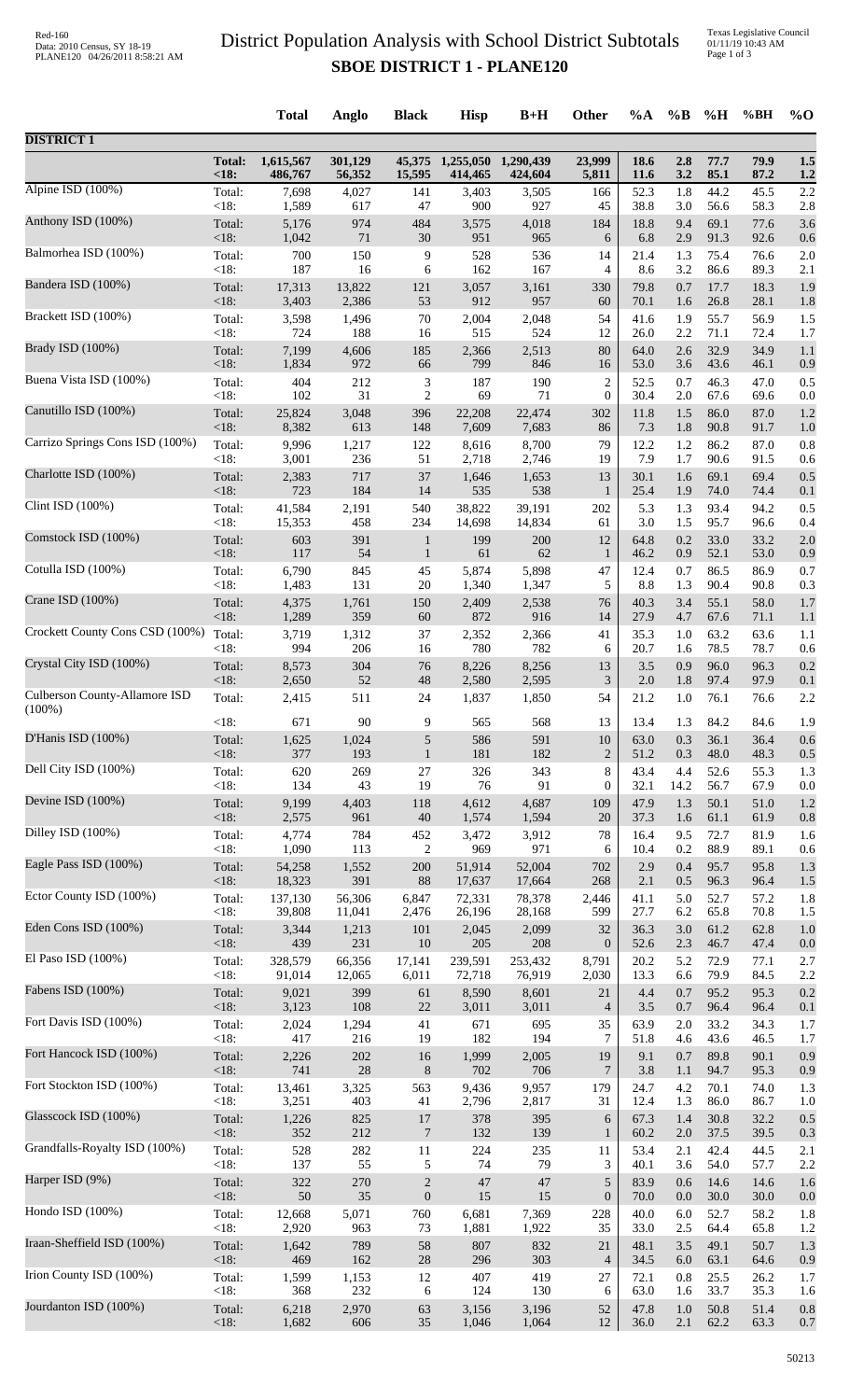## District Population Analysis with School District Subtotals **SBOE DISTRICT 1 - PLANE120**

|                                 |                | <b>Total</b>   | Anglo        | <b>Black</b>     | <b>Hisp</b>  | $B+H$        | <b>Other</b>         | %A           | $\%B$      | %H           | %BH          | $\%$ O     |
|---------------------------------|----------------|----------------|--------------|------------------|--------------|--------------|----------------------|--------------|------------|--------------|--------------|------------|
| <b>DISTRICT 1</b>               |                |                |              |                  |              |              |                      |              |            |              |              |            |
|                                 | <b>Total:</b>  | 1,615,567      | 301,129      | 45,375           | 1,255,050    | 1,290,439    | 23,999               | 18.6         | 2.8        | 77.7         | 79.9         | 1.5        |
|                                 | < 18:          | 486,767        | 56,352       | 15,595           | 414,465      | 424,604      | 5,811                | <b>11.6</b>  | 3.2        | 85.1         | 87.2         | 1.2        |
| Alpine ISD $(100\%)$            | Total:         | 7,698          | 4,027        | 141              | 3,403        | 3,505        | 166                  | 52.3         | 1.8        | 44.2         | 45.5         | 2.2        |
| Anthony ISD (100%)              | <18:           | 1,589          | 617          | 47               | 900          | 927          | 45                   | 38.8         | 3.0        | 56.6         | 58.3         | 2.8        |
|                                 | Total:         | 5,176          | 974          | 484              | 3,575        | 4,018        | 184                  | 18.8         | 9.4        | 69.1         | 77.6         | 3.6        |
| Balmorhea ISD (100%)            | $<18$ :        | 1,042          | 71           | $30\,$           | 951          | 965          | 6                    | 6.8          | 2.9        | 91.3         | 92.6         | 0.6        |
|                                 | Total:         | 700            | 150          | 9                | 528          | 536          | 14                   | 21.4         | 1.3        | 75.4         | 76.6         | 2.0        |
| Bandera ISD (100%)              | <18:           | 187            | 16           | 6                | 162          | 167          | 4                    | 8.6          | 3.2        | 86.6         | 89.3         | 2.1        |
|                                 | Total:         | 17,313         | 13,822       | 121              | 3,057        | 3,161        | 330                  | 79.8         | 0.7        | 17.7         | 18.3         | 1.9        |
| Brackett ISD (100%)             | <18:           | 3,403          | 2,386        | 53               | 912          | 957          | 60                   | 70.1         | 1.6        | 26.8         | 28.1         | 1.8        |
|                                 | Total:         | 3,598          | 1,496        | $70\,$           | 2,004        | 2,048        | 54                   | 41.6         | 1.9        | 55.7         | 56.9         | 1.5        |
|                                 | <18:           | 724            | 188          | 16               | 515          | 524          | 12                   | 26.0         | 2.2        | 71.1         | 72.4         | 1.7        |
| Brady ISD (100%)                | Total:         | 7,199          | 4,606        | 185              | 2,366        | 2,513        | 80                   | 64.0         | 2.6        | 32.9         | 34.9         | 1.1        |
|                                 | <18:           | 1,834          | 972          | 66               | 799          | 846          | 16                   | 53.0         | 3.6        | 43.6         | 46.1         | 0.9        |
| Buena Vista ISD (100%)          | Total:         | 404            | 212          | 3                | 187          | 190          | $\overline{c}$       | 52.5         | 0.7        | 46.3         | 47.0         | 0.5        |
|                                 | <18:           | 102            | 31           | $\overline{c}$   | 69           | 71           | $\boldsymbol{0}$     | 30.4         | 2.0        | 67.6         | 69.6         | 0.0        |
| Canutillo ISD (100%)            | Total:         | 25,824         | 3,048        | 396              | 22,208       | 22,474       | 302                  | 11.8         | 1.5        | 86.0         | 87.0         | 1.2        |
|                                 | $<18$ :        | 8,382          | 613          | 148              | 7,609        | 7,683        | 86                   | 7.3          | 1.8        | 90.8         | 91.7         | 1.0        |
| Carrizo Springs Cons ISD (100%) | Total:         | 9,996          | 1,217        | 122              | 8,616        | 8,700        | 79                   | 12.2         | 1.2        | 86.2         | 87.0         | 0.8        |
|                                 | <18:           | 3,001          | 236          | 51               | 2,718        | 2,746        | 19                   | 7.9          | 1.7        | 90.6         | 91.5         | 0.6        |
| Charlotte ISD (100%)            | Total:         | 2,383          | 717          | 37               | 1,646        | 1,653        | 13                   | 30.1         | 1.6        | 69.1         | 69.4         | 0.5        |
| Clint ISD (100%)                | <18:           | 723            | 184          | 14               | 535          | 538          | 1                    | 25.4         | 1.9        | 74.0         | 74.4         | 0.1        |
|                                 | Total:         | 41,584         | 2,191        | 540              | 38,822       | 39,191       | 202                  | 5.3          | 1.3        | 93.4         | 94.2         | 0.5        |
| Comstock ISD (100%)             | <18:           | 15,353         | 458          | 234              | 14,698       | 14,834       | 61                   | 3.0          | 1.5        | 95.7         | 96.6         | 0.4        |
|                                 | Total:         | 603            | 391          | $\mathbf{1}$     | 199          | 200          | 12                   | 64.8         | 0.2        | 33.0         | 33.2         | 2.0        |
| Cotulla ISD (100%)              | <18:           | 117            | 54           | $\mathbf{1}$     | 61           | 62           | $\mathbf{1}$         | 46.2         | 0.9        | 52.1         | 53.0         | 0.9        |
|                                 | Total:         | 6,790          | 845          | 45               | 5,874        | 5,898        | 47                   | 12.4         | 0.7        | 86.5         | 86.9         | 0.7        |
|                                 | <18:           | 1,483          | 131          | 20               | 1,340        | 1,347        | 5                    | 8.8          | 1.3        | 90.4         | 90.8         | 0.3        |
| Crane ISD (100%)                | Total:         | 4,375          | 1,761        | 150              | 2,409        | 2,538        | 76                   | 40.3         | 3.4        | 55.1         | 58.0         | 1.7        |
|                                 | $<18$ :        | 1,289          | 359          | 60               | 872          | 916          | 14                   | 27.9         | 4.7        | 67.6         | 71.1         | 1.1        |
| Crockett County Cons CSD (100%) | Total:         | 3,719          | 1,312        | 37               | 2,352        | 2,366        | 41                   | 35.3         | 1.0        | 63.2         | 63.6         | 1.1        |
|                                 | <18:           | 994            | 206          | 16               | 780          | 782          | 6                    | 20.7         | 1.6        | 78.5         | 78.7         | 0.6        |
| Crystal City ISD (100%)         | Total:         | 8,573          | 304          | 76               | 8,226        | 8,256        | 13                   | 3.5          | 0.9        | 96.0         | 96.3         | 0.2        |
| Culberson County-Allamore ISD   | <18:           | 2,650          | 52           | $\sqrt{48}$      | 2,580        | 2,595        | 3                    | 2.0          | 1.8        | 97.4         | 97.9         | 0.1        |
|                                 | Total:         | 2,415          | 511          | 24               | 1,837        | 1,850        | 54                   | 21.2         | 1.0        | 76.1         | 76.6         | 2.2        |
| $(100\%)$                       | <18:           | 671            | 90           | 9                | 565          | 568          | 13                   | 13.4         | 1.3        | 84.2         | 84.6         | 1.9        |
| D'Hanis ISD (100%)              | Total:         | 1,625          | 1,024        | 5                | 586          | 591          | 10                   | 63.0         | 0.3        | 36.1         | 36.4         | 0.6        |
|                                 | <18:           | 377            | 193          | $\mathbf{1}$     | 181          | 182          | $\overline{2}$       | 51.2         | 0.3        | 48.0         | 48.3         | 0.5        |
| Dell City ISD (100%)            | Total:         | 620            | 269          | $27\,$           | 326          | 343          | $\,8$                | 43.4         | 4.4        | 52.6         | 55.3         | 1.3        |
| Devine ISD (100%)               | $<18$ :        | 134            | 43           | 19               | 76           | 91           | 0                    | 32.1         | 14.2       | 56.7         | 67.9         | 0.0        |
|                                 | Total:         | 9,199          | 4,403        | 118              | 4,612        | 4,687        | 109                  | 47.9         | 1.3        | 50.1         | 51.0         | 1.2        |
| Dilley ISD $(100\%)$            | $<18$ :        | 2,575          | 961          | $40\,$           | 1,574        | 1,594        | 20                   | 37.3         | 1.6        | 61.1         | 61.9         | 0.8        |
|                                 | Total:         | 4,774          | 784          | 452              | 3,472        | 3,912        | 78                   | 16.4         | 9.5        | 72.7         | 81.9         | 1.6        |
| Eagle Pass ISD (100%)           | <18:           | 1,090          | 113          | $\boldsymbol{2}$ | 969          | 971          | 6                    | 10.4         | 0.2        | 88.9         | 89.1         | 0.6        |
|                                 | Total:         | 54,258         | 1,552        | 200              | 51,914       | 52,004       | 702                  | 2.9          | 0.4        | 95.7         | 95.8         | 1.3        |
| Ector County ISD (100%)         | $<18$ :        | 18,323         | 391          | 88               | 17,637       | 17,664       | 268                  | 2.1          | 0.5        | 96.3         | 96.4         | 1.5        |
|                                 | Total:         | 137,130        | 56,306       | 6,847            | 72,331       | 78,378       | 2,446                | 41.1         | 5.0        | 52.7         | 57.2         | 1.8        |
|                                 | $<18$ :        | 39,808         | 11,041       | 2,476            | 26,196       | 28,168       | 599                  | 27.7         | 6.2        | 65.8         | 70.8         | 1.5        |
| Eden Cons ISD (100%)            | Total:         | 3,344          | 1,213        | 101              | 2,045        | 2,099        | 32                   | 36.3         | 3.0        | 61.2         | 62.8         | 1.0        |
|                                 | $<18$ :        | 439            | 231          | 10               | 205          | 208          | $\overline{0}$       | 52.6         | 2.3        | 46.7         | 47.4         | 0.0        |
| El Paso ISD (100%)              | Total:         | 328,579        | 66,356       | 17,141           | 239,591      | 253,432      | 8,791                | 20.2         | 5.2        | 72.9         | 77.1         | 2.7        |
|                                 | $<18$ :        | 91,014         | 12,065       | 6,011            | 72,718       | 76,919       | 2,030                | 13.3         | 6.6        | 79.9         | 84.5         | 2.2        |
| Fabens ISD (100%)               | Total:<br><18: | 9,021          | 399          | 61<br>$22\,$     | 8,590        | 8,601        | 21                   | 4.4<br>$3.5$ | 0.7        | 95.2         | 95.3         | 0.2        |
| Fort Davis ISD (100%)           | Total:         | 3,123<br>2,024 | 108<br>1,294 | 41               | 3,011<br>671 | 3,011<br>695 | $\overline{4}$<br>35 | 63.9         | 0.7<br>2.0 | 96.4<br>33.2 | 96.4<br>34.3 | 0.1<br>1.7 |
| Fort Hancock ISD (100%)         | <18:           | 417            | 216          | 19               | 182          | 194          | 7                    | 51.8         | 4.6        | 43.6         | 46.5         | 1.7        |
|                                 | Total:         | 2,226          | 202          | 16               | 1,999        | 2,005        | 19                   | 9.1          | 0.7        | 89.8         | 90.1         | 0.9        |
| Fort Stockton ISD (100%)        | $<18$ :        | 741            | 28           | $8\,$            | 702          | 706          | 7                    | 3.8          | 1.1        | 94.7         | 95.3         | 0.9        |
|                                 | Total:         | 13,461         | 3,325        | 563              | 9,436        | 9,957        | 179                  | 24.7         | 4.2        | 70.1         | 74.0         | 1.3        |
| Glasscock ISD (100%)            | $<18$ :        | 3,251          | 403          | 41               | 2,796        | 2,817        | 31                   | 12.4         | 1.3        | 86.0         | 86.7         | 1.0        |
|                                 | Total:         | 1,226          | 825          | 17               | 378          | 395          | 6                    | 67.3         | 1.4        | 30.8         | 32.2         | 0.5        |
|                                 | $<18$ :        | 352            | 212          | $\tau$           | 132          | 139          | $\mathbf{1}$         | 60.2         | 2.0        | 37.5         | 39.5         | 0.3        |
| Grandfalls-Royalty ISD (100%)   | Total:         | 528            | 282          | 11               | 224          | 235          | 11                   | 53.4         | 2.1        | 42.4         | 44.5         | 2.1        |
|                                 | $<18$ :        | 137            | 55           | 5                | 74           | 79           | 3                    | 40.1         | 3.6        | 54.0         | 57.7         | 2.2        |
| Harper ISD (9%)                 | Total:         | 322            | 270          | $\sqrt{2}$       | 47           | 47           | 5                    | 83.9         | 0.6        | 14.6         | 14.6         | 1.6        |
|                                 | $<18$ :        | 50             | 35           | $\boldsymbol{0}$ | 15           | 15           | $\boldsymbol{0}$     | 70.0         | 0.0        | 30.0         | 30.0         | 0.0        |
| Hondo ISD (100%)                | Total:         | 12,668         | 5,071        | 760              | 6,681        | 7,369        | 228                  | 40.0         | 6.0        | 52.7         | 58.2         | 1.8        |
|                                 | $<18$ :        | 2,920          | 963          | 73               | 1,881        | 1,922        | 35                   | 33.0         | 2.5        | 64.4         | 65.8         | 1.2        |
| Iraan-Sheffield ISD (100%)      | Total:         | 1,642          | 789          | 58               | 807          | 832          | 21                   | 48.1         | 3.5        | 49.1         | 50.7         | 1.3        |
| Irion County ISD (100%)         | <18:           | 469            | 162          | 28               | 296          | 303          | $\overline{4}$       | 34.5         | 6.0        | 63.1         | 64.6         | 0.9        |
|                                 | Total:         | 1,599          | 1,153        | 12               | 407          | 419          | 27                   | 72.1         | 0.8        | 25.5         | 26.2         | 1.7        |
| Jourdanton ISD (100%)           | $<18$ :        | 368            | 232          | 6                | 124          | 130          | 6                    | 63.0         | 1.6        | 33.7         | 35.3         | 1.6        |
|                                 | Total:         | 6,218          | 2,970        | 63               | 3,156        | 3,196        | 52                   | 47.8         | 1.0        | 50.8         | 51.4         | 0.8        |
|                                 | $<18$ :        | 1,682          | 606          | 35               | 1,046        | 1,064        | 12                   | 36.0         | 2.1        | 62.2         | 63.3         | 0.7        |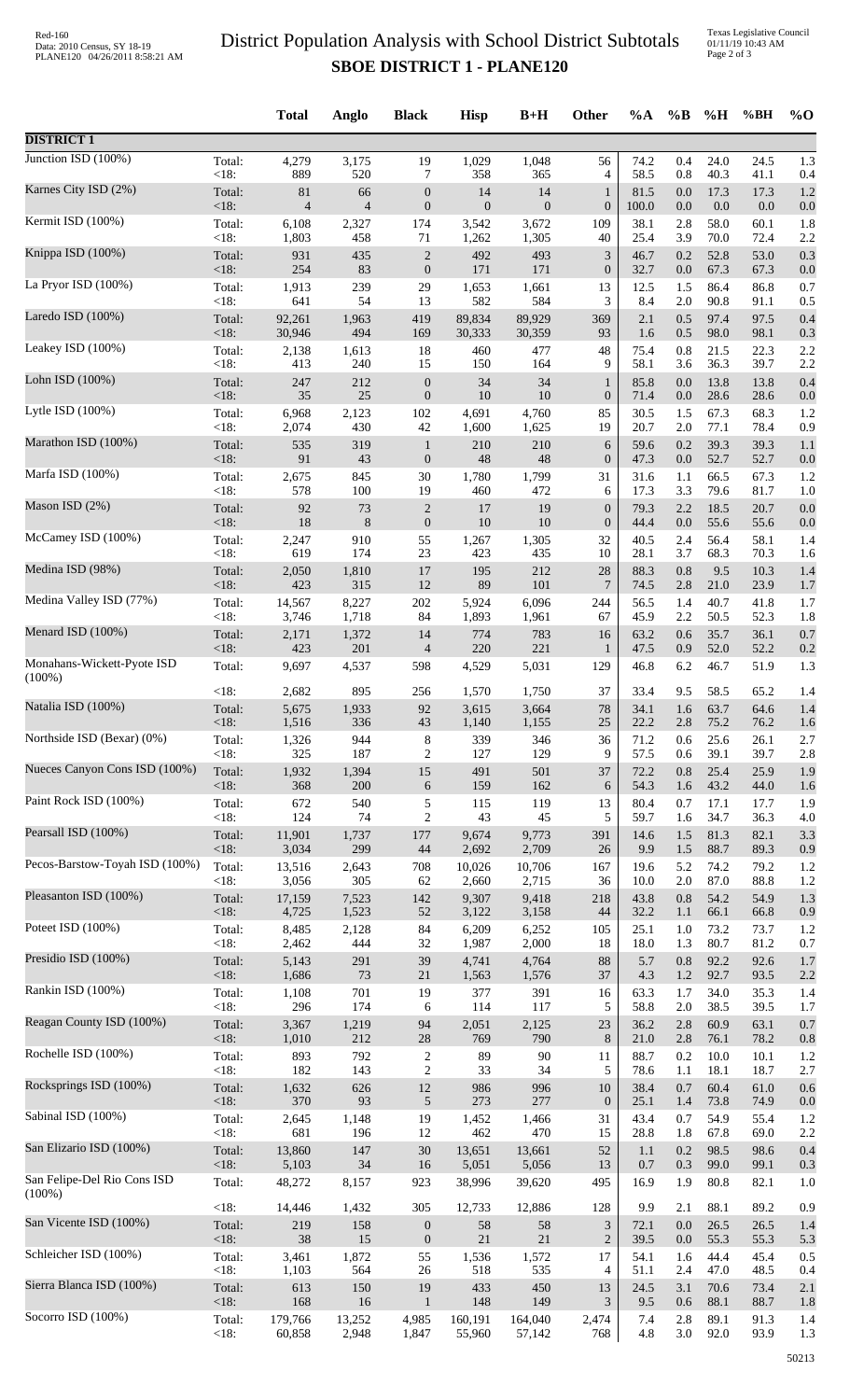## District Population Analysis with School District Subtotals **SBOE DISTRICT 1 - PLANE120**

Texas Legislative Council 01/11/19 10:43 AM Page 2 of 3

|                                |                 | <b>Total</b>    | Anglo          | <b>Black</b>            | <b>Hisp</b>    | $B+H$          | Other                   | $\%A$        | $\%B$      | %H           | %BH          | $%$ <sup>O</sup> |
|--------------------------------|-----------------|-----------------|----------------|-------------------------|----------------|----------------|-------------------------|--------------|------------|--------------|--------------|------------------|
| <b>DISTRICT 1</b>              |                 |                 |                |                         |                |                |                         |              |            |              |              |                  |
| Junction ISD (100%)            | Total:          | 4,279           | 3,175          | 19                      | 1,029          | 1,048          | 56                      | 74.2         | 0.4        | 24.0         | 24.5         | 1.3              |
|                                | < 18:           | 889             | 520            | 7                       | 358            | 365            | 4                       | 58.5         | 0.8        | 40.3         | 41.1         | 0.4              |
| Karnes City ISD (2%)           | Total:          | 81              | 66             | $\boldsymbol{0}$        | 14             | 14             | $\mathbf{1}$            | 81.5         | 0.0        | 17.3         | 17.3         | 1.2              |
| Kermit ISD (100%)              | < 18:           | $\overline{4}$  | $\overline{4}$ | $\boldsymbol{0}$        | $\overline{0}$ | $\mathbf{0}$   | $\boldsymbol{0}$        | 100.0        | 0.0        | 0.0          | 0.0          | 0.0              |
|                                | Total:          | 6,108           | 2,327          | 174                     | 3,542          | 3,672          | 109                     | 38.1         | 2.8        | 58.0         | 60.1         | 1.8              |
| Knippa ISD (100%)              | <18:            | 1,803           | 458            | 71                      | 1,262          | 1,305          | 40                      | 25.4         | 3.9        | 70.0         | 72.4         | 2.2              |
|                                | Total:          | 931             | 435            | $\sqrt{2}$              | 492            | 493            | $\mathfrak{Z}$          | 46.7         | 0.2        | 52.8         | 53.0         | 0.3              |
| La Pryor ISD (100%)            | < 18:           | 254             | 83             | $\boldsymbol{0}$        | 171            | 171            | $\boldsymbol{0}$        | 32.7         | 0.0        | 67.3         | 67.3         | 0.0              |
|                                | Total:          | 1,913           | 239            | 29                      | 1,653          | 1,661          | 13                      | 12.5         | 1.5        | 86.4         | 86.8         | 0.7              |
|                                | <18:            | 641             | 54             | 13                      | 582            | 584            | 3                       | 8.4          | $2.0\,$    | 90.8         | 91.1         | 0.5              |
| Laredo ISD (100%)              | Total:          | 92,261          | 1,963          | 419                     | 89,834         | 89,929         | 369                     | 2.1          | 0.5        | 97.4         | 97.5         | 0.4              |
|                                | < 18:           | 30,946          | 494            | 169                     | 30,333         | 30,359         | 93                      | 1.6          | 0.5        | 98.0         | 98.1         | 0.3              |
| Leakey ISD (100%)              | Total:          | 2,138           | 1,613          | 18                      | 460            | 477            | 48                      | 75.4         | 0.8        | 21.5         | 22.3         | 2.2              |
|                                | < 18:           | 413             | 240            | 15                      | 150            | 164            | 9                       | 58.1         | 3.6        | 36.3         | 39.7         | 2.2              |
| Lohn ISD (100%)                | Total:<br>< 18: | 247<br>$35\,$   | 212<br>25      | $\boldsymbol{0}$        | 34<br>$10\,$   | 34<br>10       | $\mathbf{1}$            | 85.8         | 0.0        | 13.8<br>28.6 | 13.8         | 0.4              |
| Lytle ISD (100%)               | Total:          | 6,968           | 2,123          | $\boldsymbol{0}$<br>102 | 4,691          | 4,760          | $\boldsymbol{0}$<br>85  | 71.4<br>30.5 | 0.0<br>1.5 | 67.3         | 28.6<br>68.3 | 0.0<br>1.2       |
| Marathon ISD (100%)            | <18:            | 2,074           | 430            | $42\,$                  | 1,600          | 1,625          | 19                      | 20.7         | 2.0        | 77.1         | 78.4         | 0.9              |
|                                | Total:          | 535             | 319            | $\mathbf{1}$            | 210            | 210            | 6                       | 59.6         | 0.2        | 39.3         | 39.3         | 1.1              |
| Marfa ISD (100%)               | < 18:           | 91              | 43             | $\boldsymbol{0}$        | $\sqrt{48}$    | 48             | $\boldsymbol{0}$        | 47.3         | $0.0\,$    | 52.7         | 52.7         | 0.0              |
|                                | Total:          | 2,675           | 845            | 30                      | 1,780          | 1,799          | 31                      | 31.6         | 1.1        | 66.5         | 67.3         | 1.2              |
| Mason ISD (2%)                 | < 18:           | 578             | 100            | 19                      | 460            | 472            | 6                       | 17.3         | 3.3        | 79.6         | 81.7         | 1.0              |
|                                | Total:          | 92              | 73             | $\sqrt{2}$              | 17             | 19             | $\boldsymbol{0}$        | 79.3         | 2.2        | 18.5         | 20.7         | 0.0              |
|                                | < 18:           | 18              | $\,8\,$        | $\boldsymbol{0}$        | $10\,$         | 10             | $\boldsymbol{0}$        | 44.4         | 0.0        | 55.6         | 55.6         | 0.0              |
| McCamey ISD (100%)             | Total:          | 2,247           | 910            | 55                      | 1,267          | 1,305          | 32                      | 40.5         | 2.4        | 56.4         | 58.1         | 1.4              |
|                                | < 18:           | 619             | 174            | 23                      | 423            | 435            | 10                      | 28.1         | 3.7        | 68.3         | 70.3         | 1.6              |
| Medina ISD (98%)               | Total:          | 2,050           | 1,810          | 17                      | 195<br>89      | 212            | 28                      | 88.3         | 0.8        | 9.5          | 10.3         | 1.4              |
| Medina Valley ISD (77%)        | <18:<br>Total:  | 423<br>14,567   | 315<br>8,227   | 12<br>202               | 5,924          | 101<br>6,096   | $\boldsymbol{7}$<br>244 | 74.5<br>56.5 | 2.8<br>1.4 | 21.0<br>40.7 | 23.9<br>41.8 | 1.7<br>1.7       |
| Menard ISD (100%)              | < 18:           | 3,746           | 1,718          | 84                      | 1,893          | 1,961          | 67                      | 45.9         | 2.2        | 50.5         | 52.3         | 1.8              |
|                                | Total:          | 2,171           | 1,372          | 14                      | 774            | 783            | 16                      | 63.2         | 0.6        | 35.7         | 36.1         | 0.7              |
| Monahans-Wickett-Pyote ISD     | < 18:           | 423             | 201            | $\overline{4}$          | 220            | 221            | $\mathbf{1}$            | 47.5         | 0.9        | 52.0         | 52.2         | 0.2              |
|                                | Total:          | 9,697           | 4,537          | 598                     | 4,529          | 5,031          | 129                     | 46.8         | 6.2        | 46.7         | 51.9         | 1.3              |
| $(100\%)$                      | < 18:           | 2,682           | 895            | 256                     | 1,570          | 1,750          | 37                      | 33.4         | 9.5        | 58.5         | 65.2         | 1.4              |
| Natalia ISD (100%)             | Total:          | 5,675           | 1,933          | 92                      | 3,615          | 3,664          | 78                      | 34.1         | 1.6        | 63.7         | 64.6         | 1.4              |
| Northside ISD (Bexar) (0%)     | $<18$ :         | 1,516           | 336            | 43                      | 1,140          | 1,155          | 25                      | 22.2         | 2.8        | 75.2         | 76.2         | 1.6              |
|                                | Total:          | 1,326           | 944            | 8                       | 339            | 346            | 36                      | 71.2         | 0.6        | 25.6         | 26.1         | 2.7              |
| Nueces Canyon Cons ISD (100%)  | < 18:           | 325             | 187            | 2                       | 127            | 129            | 9                       | 57.5         | 0.6        | 39.1         | 39.7         | 2.8              |
|                                | Total:          | 1,932           | 1,394          | 15                      | 491            | 501            | 37                      | 72.2         | 0.8        | 25.4         | 25.9         | 1.9              |
|                                | < 18:           | 368             | 200            | 6                       | 159            | 162            | 6                       | 54.3         | 1.6        | 43.2         | 44.0         | 1.6              |
| Paint Rock ISD (100%)          | Total:          | 672             | 540            | $\mathfrak s$           | 115            | 119            | 13                      | 80.4         | 0.7        | 17.1         | 17.7         | 1.9              |
|                                | < 18:           | 124             | 74             | $\overline{c}$          | 43             | 45             | 5                       | 59.7         | 1.6        | 34.7         | 36.3         | 4.0              |
| Pearsall ISD (100%)            | Total:          | 11,901          | 1,737          | 177                     | 9,674          | 9,773          | 391                     | 14.6         | 1.5        | 81.3         | 82.1         | 3.3              |
|                                | < 18:           | 3,034           | 299            | 44                      | 2,692          | 2,709          | 26                      | 9.9          | 1.5        | 88.7         | 89.3         | 0.9              |
| Pecos-Barstow-Toyah ISD (100%) | Total:<br>< 18: | 13,516<br>3,056 | 2,643<br>305   | 708                     | 10,026         | 10,706         | 167                     | 19.6         | 5.2        | 74.2<br>87.0 | 79.2<br>88.8 | 1.2              |
| Pleasanton ISD (100%)          | Total:          | 17,159          | 7,523          | 62<br>142               | 2,660<br>9,307 | 2,715<br>9,418 | 36<br>218               | 10.0<br>43.8 | 2.0<br>0.8 | 54.2         | 54.9         | 1.2<br>1.3       |
| Poteet ISD (100%)              | < 18:           | 4,725           | 1,523          | $52\,$                  | 3,122          | 3,158          | 44                      | 32.2         | 1.1        | 66.1         | 66.8         | 0.9              |
|                                | Total:          | 8,485           | 2,128          | 84                      | 6,209          | 6,252          | 105                     | 25.1         | 1.0        | 73.2         | 73.7         | 1.2              |
| Presidio ISD (100%)            | < 18:           | 2,462           | 444            | 32                      | 1,987          | 2,000          | 18                      | 18.0         | 1.3        | 80.7         | 81.2         | 0.7              |
|                                | Total:          | 5,143           | 291            | 39                      | 4,741          | 4,764          | 88                      | 5.7          | 0.8        | 92.2         | 92.6         | 1.7              |
|                                | < 18:           | 1,686           | 73             | 21                      | 1,563          | 1,576          | 37                      | 4.3          | 1.2        | 92.7         | 93.5         | 2.2              |
| Rankin ISD (100%)              | Total:          | 1,108           | 701            | 19                      | 377            | 391            | 16                      | 63.3         | 1.7        | 34.0         | 35.3         | 1.4              |
|                                | < 18:           | 296             | 174            | 6                       | 114            | 117            | 5                       | 58.8         | $2.0\,$    | 38.5         | 39.5         | 1.7              |
| Reagan County ISD (100%)       | Total:          | 3,367           | 1,219          | 94                      | 2,051          | 2,125          | 23                      | 36.2         | 2.8        | 60.9         | 63.1         | 0.7              |
|                                | < 18:           | 1,010           | 212            | $28\,$                  | 769            | 790            | 8                       | 21.0         | 2.8        | 76.1         | 78.2         | 0.8              |
| Rochelle ISD (100%)            | Total:          | 893             | 792            | $\sqrt{2}$              | 89             | 90             | 11                      | 88.7         | 0.2        | 10.0         | 10.1         | 1.2              |
| Rocksprings ISD (100%)         | < 18:           | 182             | 143            | $\sqrt{2}$              | 33             | 34             | 5                       | 78.6         | 1.1        | 18.1         | 18.7         | 2.7              |
|                                | Total:          | 1,632           | 626            | 12                      | 986            | 996            | 10                      | 38.4         | 0.7        | 60.4         | 61.0         | 0.6              |
| Sabinal ISD (100%)             | < 18:           | 370             | 93             | $\sqrt{5}$              | 273            | 277            | $\mathbf{0}$            | 25.1         | 1.4        | 73.8         | 74.9         | 0.0              |
|                                | Total:          | 2,645           | 1,148          | 19                      | 1,452          | 1,466          | 31                      | 43.4         | 0.7        | 54.9         | 55.4         | 1.2              |
| San Elizario ISD (100%)        | < 18:           | 681             | 196            | 12                      | 462            | 470            | 15                      | 28.8         | 1.8        | 67.8         | 69.0         | 2.2              |
|                                | Total:          | 13,860          | 147            | 30                      | 13,651         | 13,661         | 52                      | $1.1\,$      | 0.2        | 98.5         | 98.6         | 0.4              |
| San Felipe-Del Rio Cons ISD    | < 18:           | 5,103           | 34             | 16                      | 5,051          | 5,056          | 13                      | 0.7          | 0.3        | 99.0         | 99.1         | 0.3              |
| $(100\%)$                      | Total:          | 48,272          | 8,157          | 923                     | 38,996         | 39,620         | 495                     | 16.9         | 1.9        | 80.8         | 82.1         | 1.0              |
| San Vicente ISD (100%)         | < 18:           | 14,446          | 1,432          | 305                     | 12,733         | 12,886         | 128                     | 9.9          | 2.1        | 88.1         | 89.2         | 0.9              |
|                                | Total:          | 219             | 158            | $\boldsymbol{0}$        | 58             | 58             | $\mathfrak{Z}$          | 72.1         | 0.0        | 26.5         | 26.5         | 1.4              |
| Schleicher ISD (100%)          | $<18$ :         | 38              | 15             | $\boldsymbol{0}$        | $21\,$         | $21\,$         | $\overline{2}$          | 39.5         | 0.0        | 55.3         | 55.3         | 5.3              |
|                                | Total:          | 3,461           | 1,872          | 55                      | 1,536          | 1,572          | 17                      | 54.1         | 1.6        | 44.4         | 45.4         | 0.5              |
|                                | < 18:           | 1,103           | 564            | 26                      | 518            | 535            | 4                       | 51.1         | $2.4\,$    | 47.0         | 48.5         | 0.4              |
| Sierra Blanca ISD (100%)       | Total:          | 613             | 150            | 19                      | 433            | 450            | 13                      | 24.5         | 3.1        | 70.6         | 73.4         | 2.1              |
|                                | < 18:           | 168             | 16             | $\mathbf{1}$            | 148            | 149            | 3                       | 9.5          | 0.6        | 88.1         | 88.7         | 1.8              |
| Socorro ISD (100%)             | Total:          | 179,766         | 13,252         | 4,985                   | 160,191        | 164,040        | 2,474                   | 7.4          | 2.8        | 89.1         | 91.3         | 1.4              |
|                                | < 18:           | 60,858          | 2,948          | 1,847                   | 55,960         | 57,142         | 768                     | 4.8          | 3.0        | 92.0         | 93.9         | 1.3              |